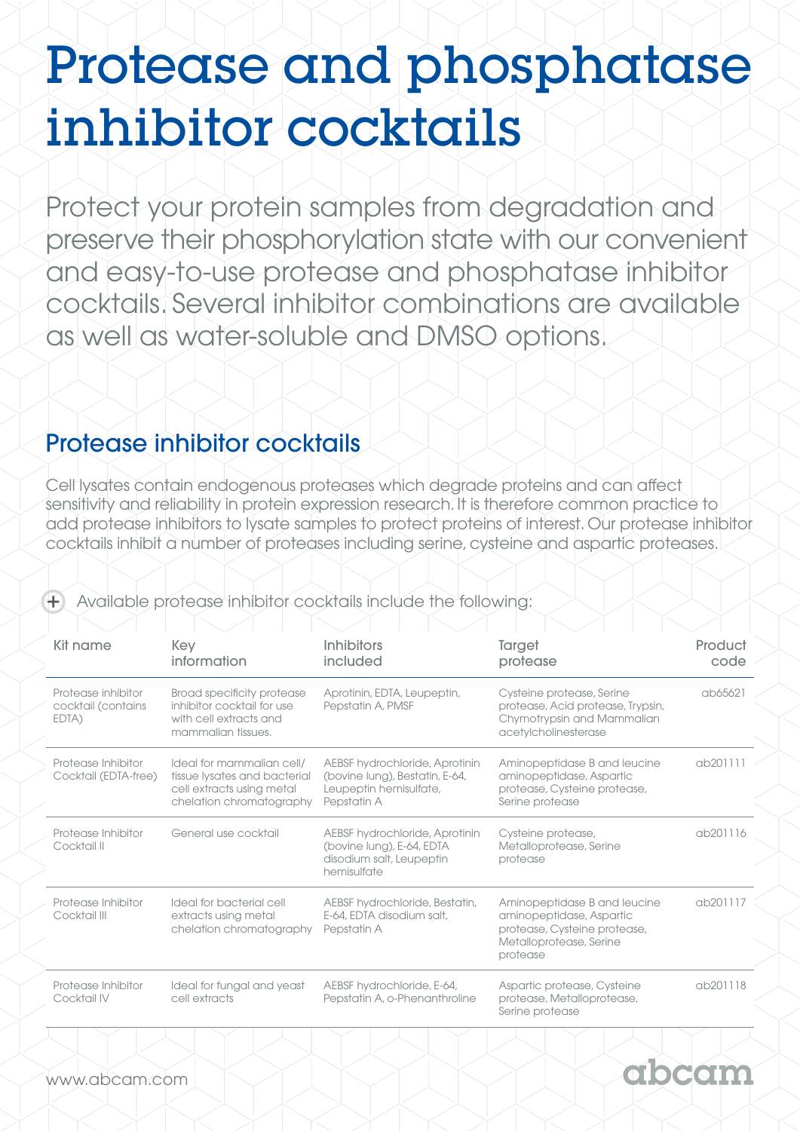## Protease and phosphatase inhibitor cocktails

Protect your protein samples from degradation and preserve their phosphorylation state with our convenient and easy-to-use protease and phosphatase inhibitor cocktails. Several inhibitor combinations are available as well as water-soluble and DMSO options.

## Protease inhibitor cocktails

Cell lysates contain endogenous proteases which degrade proteins and can affect sensitivity and reliability in protein expression research. It is therefore common practice to add protease inhibitors to lysate samples to protect proteins of interest. Our protease inhibitor cocktails inhibit a number of proteases including serine, cysteine and aspartic proteases.

| Kit name                                          | Key<br>information                                                                                                 | <b>Inhibitors</b><br>included                                                                             | <b>Target</b><br>protease                                                                                                       | Product<br>code |
|---------------------------------------------------|--------------------------------------------------------------------------------------------------------------------|-----------------------------------------------------------------------------------------------------------|---------------------------------------------------------------------------------------------------------------------------------|-----------------|
| Protease inhibitor<br>cocktail (contains<br>EDTA) | Broad specificity protease<br>inhibitor cocktail for use<br>with cell extracts and<br>mammalian tissues.           | Aprotinin, EDTA, Leupeptin,<br>Pepstatin A, PMSF                                                          | Cysteine protease, Serine<br>protease, Acid protease, Trypsin,<br>Chymotrypsin and Mammalian<br>acetylcholinesterase            | ab65621         |
| Protease Inhibitor<br>Cocktail (EDTA-free)        | Ideal for mammalian cell/<br>tissue lysates and bacterial<br>cell extracts using metal<br>chelation chromatography | AEBSF hydrochloride, Aprotinin<br>(bovine lung), Bestatin, E-64,<br>Leupeptin hemisulfate,<br>Pepstatin A | Aminopeptidase B and leucine<br>aminopeptidase, Aspartic<br>protease, Cysteine protease,<br>Serine protease                     | ab201111        |
| Protease Inhibitor<br>Cocktail II                 | General use cocktail                                                                                               | AEBSF hydrochloride, Aprotinin<br>(bovine lung), E-64, EDTA<br>disodium salt, Leupeptin<br>hemisulfate    | Cysteine protease,<br>Metalloprotease, Serine<br>protease                                                                       | ab201116        |
| Protease Inhibitor<br>Cocktail III                | Ideal for bacterial cell<br>extracts using metal<br>chelation chromatography                                       | AEBSF hydrochloride, Bestatin,<br>E-64, EDTA disodium salt,<br>Pepstatin A                                | Aminopeptidase B and leucine<br>aminopeptidase, Aspartic<br>protease, Cysteine protease,<br>Metalloprotease, Serine<br>protease | ab201117        |
| Protease Inhibitor<br>Cocktail IV                 | Ideal for fungal and yeast<br>cell extracts                                                                        | AEBSF hydrochloride, E-64,<br>Pepstatin A, o-Phenanthroline                                               | Aspartic protease, Cysteine<br>protease, Metalloprotease,<br>Serine protease                                                    | ab201118        |

Xotaa

Available protease inhibitor cocktails include the following: